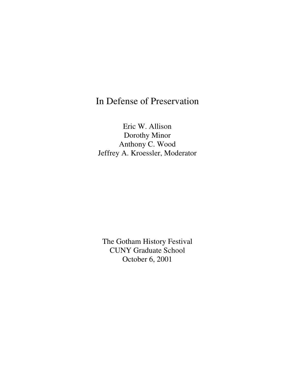# In Defense of Preservation

Eric W. Allison Dorothy Minor Anthony C. Wood Jeffrey A. Kroessler, Moderator

The Gotham History Festival CUNY Graduate School October 6, 2001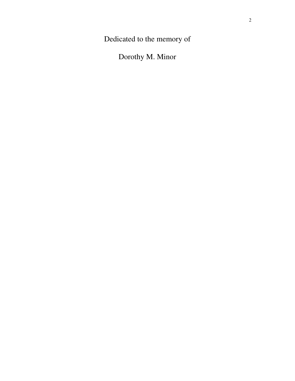Dedicated to the memory of

Dorothy M. Minor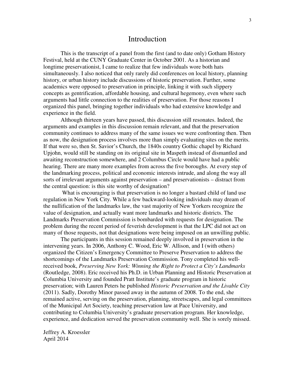# Introduction

 This is the transcript of a panel from the first (and to date only) Gotham History Festival, held at the CUNY Graduate Center in October 2001. As a historian and longtime preservationist, I came to realize that few individuals wore both hats simultaneously. I also noticed that only rarely did conferences on local history, planning history, or urban history include discussions of historic preservation. Further, some academics were opposed to preservation in principle, linking it with such slippery concepts as gentrification, affordable housing, and cultural hegemony, even where such arguments had little connection to the realities of preservation. For those reasons I organized this panel, bringing together individuals who had extensive knowledge and experience in the field.

 Although thirteen years have passed, this discussion still resonates. Indeed, the arguments and examples in this discussion remain relevant, and that the preservation community continues to address many of the same issues we were confronting then. Then as now, the designation process involves more than simply evaluating sites on the merits. If that were so, then St. Savior's Church, the 1840s country Gothic chapel by Richard Upjohn, would still be standing on its original site in Maspeth instead of dismantled and awaiting reconstruction somewhere, and 2 Columbus Circle would have had a public hearing. There are many more examples from across the five boroughs. At every step of the landmarking process, political and economic interests intrude, and along the way all sorts of irrelevant arguments against preservation – and preservationists – distract from the central question: is this site worthy of designation?

 What is encouraging is that preservation is no longer a bastard child of land use regulation in New York City. While a few backward-looking individuals may dream of the nullification of the landmarks law, the vast majority of New Yorkers recognize the value of designation, and actually want more landmarks and historic districts. The Landmarks Preservation Commission is bombarded with requests for designation. The problem during the recent period of feverish development is that the LPC did not act on many of those requests, not that designations were being imposed on an unwilling public.

 The participants in this session remained deeply involved in preservation in the intervening years. In 2006, Anthony C. Wood, Eric W. Allison, and I (with others) organized the Citizen's Emergency Committee to Preserve Preservation to address the shortcomings of the Landmarks Preservation Commission. Tony completed his wellreceived book, *Preserving New York: Winning the Right to Protect a City's Landmarks*  (Routledge, 2008). Eric received his Ph.D. in Urban Planning and Historic Preservation at Columbia University and founded Pratt Institute's graduate program in historic preservation; with Lauren Peters he published *Historic Preservation and the Livable City* (2011). Sadly, Dorothy Minor passed away in the autumn of 2008. To the end, she remained active, serving on the preservation, planning, streetscapes, and legal committees of the Municipal Art Society, teaching preservation law at Pace University, and contributing to Columbia University's graduate preservation program. Her knowledge, experience, and dedication served the preservation community well. She is sorely missed.

Jeffrey A. Kroessler April 2014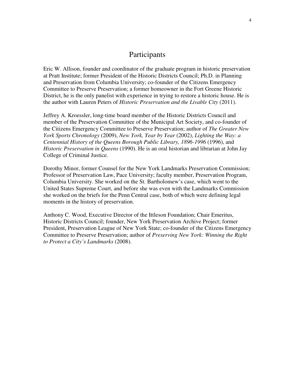# Participants

Eric W. Allison, founder and coordinator of the graduate program in historic preservation at Pratt Institute; former President of the Historic Districts Council; Ph.D. in Planning and Preservation from Columbia University; co-founder of the Citizens Emergency Committee to Preserve Preservation; a former homeowner in the Fort Greene Historic District, he is the only panelist with experience in trying to restore a historic house. He is the author with Lauren Peters of *Historic Preservation and the Livable City* (2011).

Jeffrey A. Kroessler, long-time board member of the Historic Districts Council and member of the Preservation Committee of the Municipal Art Society, and co-founder of the Citizens Emergency Committee to Preserve Preservation; author of *The Greater New York Sports Chronology* (2009), *New York, Year by Year* (2002), *Lighting the Way: a Centennial History of the Queens Borough Public Library, 1896-1996* (1996), and *Historic Preservation in Queens* (1990). He is an oral historian and librarian at John Jay College of Criminal Justice.

Dorothy Minor, former Counsel for the New York Landmarks Preservation Commission; Professor of Preservation Law, Pace University; faculty member, Preservation Program, Columbia University. She worked on the St. Bartholomew's case, which went to the United States Supreme Court, and before she was even with the Landmarks Commission she worked on the briefs for the Penn Central case, both of which were defining legal moments in the history of preservation.

Anthony C. Wood, Executive Director of the Ittleson Foundation; Chair Emeritus, Historic Districts Council; founder, New York Preservation Archive Project; former President, Preservation League of New York State; co-founder of the Citizens Emergency Committee to Preserve Preservation; author of *Preserving New York: Winning the Right to Protect a City's Landmarks* (2008).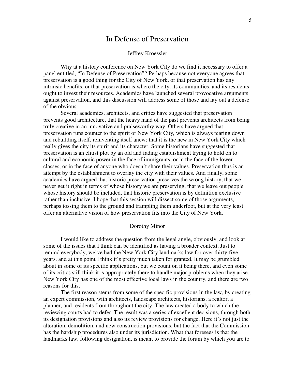# In Defense of Preservation

## Jeffrey Kroessler

Why at a history conference on New York City do we find it necessary to offer a panel entitled, "In Defense of Preservation"? Perhaps because not everyone agrees that preservation is a good thing for the City of New York, or that preservation has any intrinsic benefits, or that preservation is where the city, its communities, and its residents ought to invest their resources. Academics have launched several provocative arguments against preservation, and this discussion will address some of those and lay out a defense of the obvious.

Several academics, architects, and critics have suggested that preservation prevents good architecture, that the heavy hand of the past prevents architects from being truly creative in an innovative and praiseworthy way. Others have argued that preservation runs counter to the spirit of New York City, which is always tearing down and rebuilding itself, reinventing itself anew; that it is the new in New York City which really gives the city its spirit and its character. Some historians have suggested that preservation is an elitist plot by an old and fading establishment trying to hold on to cultural and economic power in the face of immigrants, or in the face of the lower classes, or in the face of anyone who doesn't share their values. Preservation thus is an attempt by the establishment to overlay the city with their values. And finally, some academics have argued that historic preservation preserves the wrong history, that we never get it right in terms of whose history we are preserving, that we leave out people whose history should be included, that historic preservation is by definition exclusive rather than inclusive. I hope that this session will dissect some of those arguments, perhaps tossing them to the ground and trampling them underfoot, but at the very least offer an alternative vision of how preservation fits into the City of New York.

#### Dorothy Minor

I would like to address the question from the legal angle, obviously, and look at some of the issues that I think can be identified as having a broader context. Just to remind everybody, we've had the New York City landmarks law for over thirty-five years, and at this point I think it's pretty much taken for granted. It may be grumbled about in some of its specific applications, but we count on it being there, and even some of its critics still think it is appropriately there to handle major problems when they arise. New York City has one of the most effective local laws in the country, and there are two reasons for this.

The first reason stems from some of the specific provisions in the law, by creating an expert commission, with architects, landscape architects, historians, a realtor, a planner, and residents from throughout the city. The law created a body to which the reviewing courts had to defer. The result was a series of excellent decisions, through both its designation provisions and also its review provisions for change. Here it's not just the alteration, demolition, and new construction provisions, but the fact that the Commission has the hardship procedures also under its jurisdiction. What that foresees is that the landmarks law, following designation, is meant to provide the forum by which you are to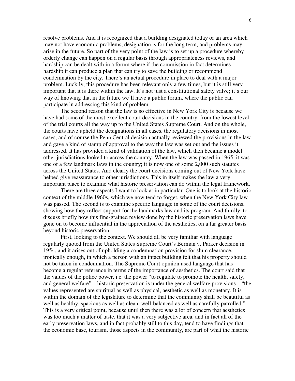resolve problems. And it is recognized that a building designated today or an area which may not have economic problems, designation is for the long term, and problems may arise in the future. So part of the very point of the law is to set up a procedure whereby orderly change can happen on a regular basis through appropriateness reviews, and hardship can be dealt with in a forum where if the commission in fact determines hardship it can produce a plan that can try to save the building or recommend condemnation by the city. There's an actual procedure in place to deal with a major problem. Luckily, this procedure has been relevant only a few times, but it is still very important that it is there within the law. It's not just a constitutional safety valve; it's our way of knowing that in the future we'll have a public forum, where the public can participate in addressing this kind of problem.

 The second reason that the law is so effective in New York City is because we have had some of the most excellent court decisions in the country, from the lowest level of the trial courts all the way up to the United States Supreme Court. And on the whole, the courts have upheld the designations in all cases, the regulatory decisions in most cases, and of course the Penn Central decision actually reviewed the provisions in the law and gave a kind of stamp of approval to the way the law was set out and the issues it addressed. It has provided a kind of validation of the law, which then became a model other jurisdictions looked to across the country. When the law was passed in 1965, it was one of a few landmark laws in the country; it is now one of some 2,000 such statutes across the United States. And clearly the court decisions coming out of New York have helped give reassurance to other jurisdictions. This in itself makes the law a very important place to examine what historic preservation can do within the legal framework.

 There are three aspects I want to look at in particular. One is to look at the historic context of the middle 1960s, which we now tend to forget, when the New York City law was passed. The second is to examine specific language in some of the court decisions, showing how they reflect support for the landmarks law and its program. And thirdly, to discuss briefly how this fine-grained review done by the historic preservation laws have gone on to become influential in the appreciation of the aesthetics, on a far greater basis beyond historic preservation.

 First, looking to the context. We should all be very familiar with language regularly quoted from the United States Supreme Court's Berman v. Parker decision in 1954, and it arises out of upholding a condemnation provision for slum clearance, ironically enough, in which a person with an intact building felt that his property should not be taken in condemnation. The Supreme Court opinion used language that has become a regular reference in terms of the importance of aesthetics. The court said that the values of the police power, i.e. the power "to regulate to promote the health, safety, and general welfare" – historic preservation is under the general welfare provisions – "the values represented are spiritual as well as physical, aesthetic as well as monetary. It is within the domain of the legislature to determine that the community shall be beautiful as well as healthy, spacious as well as clean, well-balanced as well as carefully patrolled." This is a very critical point, because until then there was a lot of concern that aesthetics was too much a matter of taste, that it was a very subjective area, and in fact all of the early preservation laws, and in fact probably still to this day, tend to have findings that the economic base, tourism, those aspects in the community, are part of what the historic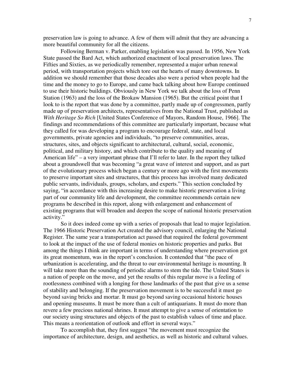preservation law is going to advance. A few of them will admit that they are advancing a more beautiful community for all the citizens.

 Following Berman v. Parker, enabling legislation was passed. In 1956, New York State passed the Bard Act, which authorized enactment of local preservation laws. The Fifties and Sixties, as we periodically remember, represented a major urban renewal period, with transportation projects which tore out the hearts of many downtowns. In addition we should remember that those decades also were a period when people had the time and the money to go to Europe, and came back talking about how Europe continued to use their historic buildings. Obviously in New York we talk about the loss of Penn Station (1963) and the loss of the Brokaw Mansion (1965). But the critical point that I look to is the report that was done by a committee, partly made up of congressmen, partly made up of preservation architects, representatives from the National Trust, published as *With Heritage So Rich* [United States Conference of Mayors, Random House, 1966]. The findings and recommendations of this committee are particularly important, because what they called for was developing a program to encourage federal, state, and local governments, private agencies and individuals, "to preserve communities, areas, structures, sites, and objects significant to architectural, cultural, social, economic, political, and military history, and which contribute to the quality and meaning of American life" – a very important phrase that I'll refer to later. In the report they talked about a groundswell that was becoming "a great wave of interest and support, and as part of the evolutionary process which began a century or more ago with the first movements to preserve important sites and structures, that this process has involved many dedicated public servants, individuals, groups, scholars, and experts." This section concluded by saying, "in accordance with this increasing desire to make historic preservation a living part of our community life and development, the committee recommends certain new programs be described in this report, along with enlargement and enhancement of existing programs that will broaden and deepen the scope of national historic preservation activity."

So it does indeed come up with a series of proposals that lead to major legislation. The 1966 Historic Preservation Act created the advisory council, enlarging the National Register. The same year a transportation act passed that required the federal government to look at the impact of the use of federal monies on historic properties and parks. But among the things I think are important in terms of understanding where preservation got its great momentum, was in the report's conclusion. It contended that "the pace of urbanization is accelerating, and the threat to our environmental heritage is mounting. It will take more than the sounding of periodic alarms to stem the tide. The United States is a nation of people on the move, and yet the results of this regular move is a feeling of rootlessness combined with a longing for those landmarks of the past that give us a sense of stability and belonging. If the preservation movement is to be successful it must go beyond saving bricks and mortar. It must go beyond saving occasional historic houses and opening museums. It must be more than a cult of antiquarians. It must do more than revere a few precious national shrines. It must attempt to give a sense of orientation to our society using structures and objects of the past to establish values of time and place. This means a reorientation of outlook and effort in several ways."

 To accomplish that, they first suggest "the movement must recognize the importance of architecture, design, and aesthetics, as well as historic and cultural values.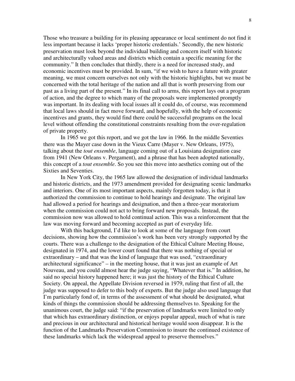Those who treasure a building for its pleasing appearance or local sentiment do not find it less important because it lacks 'proper historic credentials.' Secondly, the new historic preservation must look beyond the individual building and concern itself with historic and architecturally valued areas and districts which contain a specific meaning for the community." It then concludes that thirdly, there is a need for increased study, and economic incentives must be provided. In sum, "if we wish to have a future with greater meaning, we must concern ourselves not only with the historic highlights, but we must be concerned with the total heritage of the nation and all that is worth preserving from our past as a living part of the present." In its final call to arms, this report lays out a program of action, and the degree to which many of the proposals were implemented promptly was important. In its dealing with local issues all it could do, of course, was recommend that local laws should in fact move forward, and hopefully, with the help of economic incentives and grants, they would find there could be successful programs on the local level without offending the constitutional constraints resulting from the over-regulation of private property.

In 1965 we got this report, and we got the law in 1966. In the middle Seventies there was the Mayer case down in the Vieux Carre (Mayer v. New Orleans, 1975), talking about the *tout ensemble*, language coming out of a Louisiana designation case from 1941 (New Orleans v. Pergament), and a phrase that has been adopted nationally, this concept of a *tout ensemble*. So you see this move into aesthetics coming out of the Sixties and Seventies.

 In New York City, the 1965 law allowed the designation of individual landmarks and historic districts, and the 1973 amendment provided for designating scenic landmarks and interiors. One of its most important aspects, mainly forgotten today, is that it authorized the commission to continue to hold hearings and designate. The original law had allowed a period for hearings and designation, and then a three-year moratorium when the commission could not act to bring forward new proposals. Instead, the commission now was allowed to hold continual action. This was a reinforcement that the law was moving forward and becoming accepted as part of everyday life.

 With this background, I'd like to look at some of the language from court decisions, showing how the commission's work has been very strongly supported by the courts. There was a challenge to the designation of the Ethical Culture Meeting House, designated in 1974, and the lower court found that there was nothing of special or extraordinary – and that was the kind of language that was used, "extraordinary architectural significance" – in the meeting house, that it was just an example of Art Nouveau, and you could almost hear the judge saying, "Whatever that is." In addition, he said no special history happened here; it was just the history of the Ethical Culture Society. On appeal, the Appellate Division reversed in 1979, ruling that first of all, the judge was supposed to defer to this body of experts. But the judge also used language that I'm particularly fond of, in terms of the assessment of what should be designated, what kinds of things the commission should be addressing themselves to. Speaking for the unanimous court, the judge said: "if the preservation of landmarks were limited to only that which has extraordinary distinction, or enjoys popular appeal, much of what is rare and precious in our architectural and historical heritage would soon disappear. It is the function of the Landmarks Preservation Commission to insure the continued existence of these landmarks which lack the widespread appeal to preserve themselves."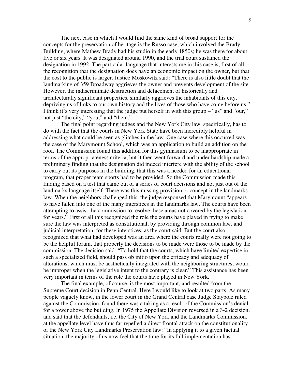The next case in which I would find the same kind of broad support for the concepts for the preservation of heritage is the Russo case, which involved the Brady Building, where Mathew Brady had his studio in the early 1850s; he was there for about five or six years. It was designated around 1990, and the trial court sustained the designation in 1992. The particular language that interests me in this case is, first of all, the recognition that the designation does have an economic impact on the owner, but that the cost to the public is larger. Justice Moskowitz said: "There is also little doubt that the landmarking of 359 Broadway aggrieves the owner and prevents development of the site. However, the indiscriminate destruction and defacement of historically and architecturally significant properties, similarly aggrieves the inhabitants of this city, depriving us of links to our own history and the lives of those who have come before us." I think it's very interesting that the judge put herself in with this group – "us" and "our," not just "the city," "you," and "them."

The final point regarding judges and the New York City law, specifically, has to do with the fact that the courts in New York State have been incredibly helpful in addressing what could be seen as glitches in the law. One case where this occurred was the case of the Marymount School, which was an application to build an addition on the roof. The Commission found this addition for this gymnasium to be inappropriate in terms of the appropriateness criteria, but it then went forward and under hardship made a preliminary finding that the designation did indeed interfere with the ability of the school to carry out its purposes in the building, that this was a needed for an educational program, that proper team sports had to be provided. So the Commission made this finding based on a test that came out of a series of court decisions and not just out of the landmarks language itself. There was this missing provision or concept in the landmarks law. When the neighbors challenged this, the judge responsed that Marymount "appears to have fallen into one of the many interstices in the landmarks law. The courts have been attempting to assist the commission to resolve these areas not covered by the legislation for years." First of all this recognized the role the courts have played in trying to make sure the law was interpreted as constitutional, by providing through common law, and judicial interpretation, for these interstices, as the court said. But the court also recognized that what had developed was an area where the courts really were not going to be the helpful forum, that properly the decisions to be made were those to be made by the commission. The decision said: "To hold that the courts, which have limited expertise in such a specialized field, should pass ob initio upon the efficacy and adequacy of alterations, which must be aesthetically integrated with the neighboring structures, would be improper when the legislative intent to the contrary is clear." This assistance has been very important in terms of the role the courts have played in New York.

The final example, of course, is the most important, and resulted from the Supreme Court decision in Penn Central. Here I would like to look at two parts. As many people vaguely know, in the lower court in the Grand Central case Judge Staypole ruled against the Commission, found there was a taking as a result of the Commission's denial for a tower above the building. In 1975 the Appellate Division reversed in a 3-2 decision, and said that the defendants, i.e. the City of New York and the Landmarks Commission, at the appellate level have thus far repelled a direct frontal attack on the constitutionality of the New York City Landmarks Preservation law: "In applying it to a given factual situation, the majority of us now feel that the time for its full implementation has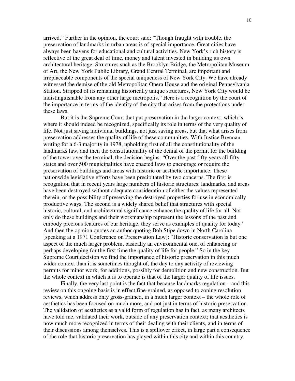arrived." Further in the opinion, the court said: "Though fraught with trouble, the preservation of landmarks in urban areas is of special importance. Great cities have always been havens for educational and cultural activities. New York's rich history is reflective of the great deal of time, money and talent invested in building its own architectural heritage. Structures such as the Brooklyn Bridge, the Metropolitan Museum of Art, the New York Public Library, Grand Central Terminal, are important and irreplaceable components of the special uniqueness of New York City. We have already witnessed the demise of the old Metropolitan Opera House and the original Pennsylvania Station. Stripped of its remaining historically unique structures, New York City would be indistinguishable from any other large metropolis." Here is a recognition by the court of the importance in terms of the identity of the city that arises from the protections under these laws.

But it is the Supreme Court that put preservation in the larger context, which is where it should indeed be recognized, specifically its role in terms of the very quality of life. Not just saving individual buildings, not just saving areas, but that what arises from preservation addresses the quality of life of these communities. With Justice Brennan writing for a 6-3 majority in 1978, upholding first of all the constitutionality of the landmarks law, and then the constitutionality of the denial of the permit for the building of the tower over the terminal, the decision begins: "Over the past fifty years all fifty states and over 500 municipalities have enacted laws to encourage or require the preservation of buildings and areas with historic or aesthetic importance. These nationwide legislative efforts have been precipitated by two concerns. The first is recognition that in recent years large numbers of historic structures, landmarks, and areas have been destroyed without adequate consideration of either the values represented therein, or the possibility of preserving the destroyed properties for use in economically productive ways. The second is a widely shared belief that structures with special historic, cultural, and architectural significance enhance the quality of life for all. Not only do these buildings and their workmanship represent the lessons of the past and embody precious features of our heritage, they serve as examples of quality for today." And then the opinion quotes an author quoting Bob Stipe down in North Carolina [speaking at a 1971 Conference on Preservation Law]: "Historic conservation is but one aspect of the much larger problem, basically an environmental one, of enhancing or perhaps developing for the first time the quality of life for people." So in the key Supreme Court decision we find the importance of historic preservation in this much wider context than it is sometimes thought of, the day to day activity of reviewing permits for minor work, for additions, possibly for demolition and new construction. But the whole context in which it is to operate is that of the larger quality of life issues.

Finally, the very last point is the fact that because landmarks regulation – and this review on this ongoing basis is in effect fine-grained, as opposed to zoning resolution reviews, which address only gross-grained, in a much larger context – the whole role of aesthetics has been focused on much more, and not just in terms of historic preservation. The validation of aesthetics as a valid form of regulation has in fact, as many architects have told me, validated their work, outside of any preservation context; that aesthetics is now much more recognized in terms of their dealing with their clients, and in terms of their discussions among themselves. This is a spillover effect, in large part a consequence of the role that historic preservation has played within this city and within this country.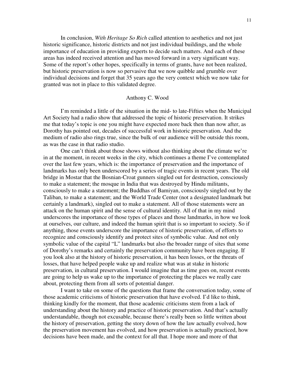In conclusion, *With Heritage So Rich* called attention to aesthetics and not just historic significance, historic districts and not just individual buildings, and the whole importance of education in providing experts to decide such matters. And each of these areas has indeed received attention and has moved forward in a very significant way. Some of the report's other hopes, specifically in terms of grants, have not been realized, but historic preservation is now so pervasive that we now quibble and grumble over individual decisions and forget that 35 years ago the very context which we now take for granted was not in place to this validated degree.

# Anthony C. Wood

 I'm reminded a little of the situation in the mid- to late-Fifties when the Municipal Art Society had a radio show that addressed the topic of historic preservation. It strikes me that today's topic is one you might have expected more back then than now after, as Dorothy has pointed out, decades of successful work in historic preservation. And the medium of radio also rings true, since the bulk of our audience will be outside this room, as was the case in that radio studio.

One can't think about those shows without also thinking about the climate we're in at the moment, in recent weeks in the city, which continues a theme I've contemplated over the last few years, which is: the importance of preservation and the importance of landmarks has only been underscored by a series of tragic events in recent years. The old bridge in Mostar that the Bosnian-Croat gunners singled out for destruction, consciously to make a statement; the mosque in India that was destroyed by Hindu militants, consciously to make a statement; the Buddhas of Bamiyan, consciously singled out by the Taliban, to make a statement; and the World Trade Center (not a designated landmark but certainly a landmark), singled out to make a statement. All of those statements were an attack on the human spirit and the sense of cultural identity. All of that in my mind underscores the importance of those types of places and those landmarks, in how we look at ourselves, our culture, and indeed the human spirit that is so important to society. So if anything, those events underscore the importance of historic preservation, of efforts to recognize and consciously identify and protect sites of symbolic value. And not only symbolic value of the capital "L" landmarks but also the broader range of sites that some of Dorothy's remarks and certainly the preservation community have been engaging. If you look also at the history of historic preservation, it has been losses, or the threats of losses, that have helped people wake up and realize what was at stake in historic preservation, in cultural preservation. I would imagine that as time goes on, recent events are going to help us wake up to the importance of protecting the places we really care about, protecting them from all sorts of potential danger.

I want to take on some of the questions that frame the conversation today, some of those academic criticisms of historic preservation that have evolved. I'd like to think, thinking kindly for the moment, that those academic criticisms stem from a lack of understanding about the history and practice of historic preservation. And that's actually understandable, though not excusable, because there's really been so little written about the history of preservation, getting the story down of how the law actually evolved, how the preservation movement has evolved, and how preservation is actually practiced, how decisions have been made, and the context for all that. I hope more and more of that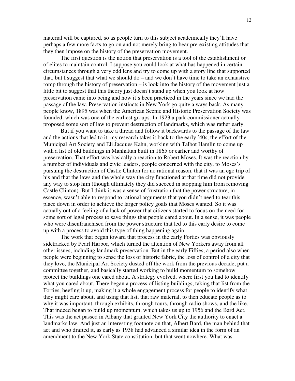material will be captured, so as people turn to this subject academically they'll have perhaps a few more facts to go on and not merely bring to bear pre-existing attitudes that they then impose on the history of the preservation movement.

The first question is the notion that preservation is a tool of the establishment or of elites to maintain control. I suppose you could look at what has happened in certain circumstances through a very odd lens and try to come up with a story line that supported that, but I suggest that what we should do – and we don't have time to take an exhaustive romp through the history of preservation – is look into the history of the movement just a little bit to suggest that this theory just doesn't stand up when you look at how preservation came into being and how it's been practiced in the years since we had the passage of the law. Preservation instincts in New York go quite a ways back. As many people know, 1895 was when the American Scenic and Historic Preservation Society was founded, which was one of the earliest groups. In 1923 a park commissioner actually proposed some sort of law to prevent destruction of landmarks, which was rather early.

But if you want to take a thread and follow it backwards to the passage of the law and the actions that led to it, my research takes it back to the early '40s, the effort of the Municipal Art Society and Eli Jacques Kahn, working with Talbot Hamlin to come up with a list of old buildings in Manhattan built in 1865 or earlier and worthy of preservation. That effort was basically a reaction to Robert Moses. It was the reaction by a number of individuals and civic leaders, people concerned with the city, to Moses's pursuing the destruction of Castle Clinton for no rational reason, that it was an ego trip of his and that the laws and the whole way the city functioned at that time did not provide any way to stop him (though ultimately they did succeed in stopping him from removing Castle Clinton). But I think it was a sense of frustration that the power structure, in essence, wasn't able to respond to rational arguments that you didn't need to tear this place down in order to achieve the larger policy goals that Moses wanted. So it was actually out of a feeling of a lack of power that citizens started to focus on the need for some sort of legal process to save things that people cared about. In a sense, it was people who were disenfranchised from the power structure that led to this early desire to come up with a process to avoid this type of thing happening again.

The work that began toward that process in the early Forties was obviously sidetracked by Pearl Harbor, which turned the attention of New Yorkers away from all other issues, including landmark preservation. But in the early Fifties, a period also when people were beginning to sense the loss of historic fabric, the loss of control of a city that they love, the Municipal Art Society dusted off the work from the previous decade, put a committee together, and basically started working to build momentum to somehow protect the buildings one cared about. A strategy evolved, where first you had to identify what you cared about. There began a process of listing buildings, taking that list from the Forties, beefing it up, making it a whole engagement process for people to identify what they might care about, and using that list, that raw material, to then educate people as to why it was important, through exhibits, through tours, through radio shows, and the like. That indeed began to build up momentum, which takes us up to 1956 and the Bard Act. This was the act passed in Albany that granted New York City the authority to enact a landmarks law. And just an interesting footnote on that, Albert Bard, the man behind that act and who drafted it, as early as 1938 had advanced a similar idea in the form of an amendment to the New York State constitution, but that went nowhere. What was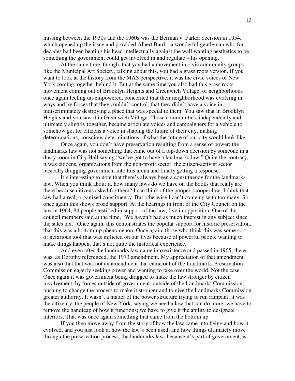missing between the 1930s and the 1960s was the Berman v. Parker decision in 1954, which opened up the issue and provided Albert Bard – a wonderful gentleman who for decades had been beating his head intellectually against the wall wanting aesthetics to be something the government could get involved in and regulate – his opening.

At the same time, though, that you had a movement in civic community groups like the Municipal Art Society, talking about this, you had a grass roots version. If you want to look at the history from the MAS perspective, it was the civic voices of New York coming together behind it. But at the same time you also had this grass roots movement coming out of Brooklyn Heights and Greenwich Village, of neighborhoods once again feeling un-empowered, concerned that their neighborhood was evolving in ways and by forces that they couldn't control, that they didn't have a voice in, indiscriminately destroying a place that was special to them. You saw that in Brooklyn Heights and you saw it in Greenwich Village. Those communities, independently and ultimately slightly together, became articulate voices and campaigners for a vehicle to somehow get for citizens a voice in shaping the future of their city, making determinations, conscious determinations of what the future of our city would look like.

Once again, you don't have preservation resulting from a sense of power; the landmarks law was not something that came out of a top-down decision by someone in a dusty room in City Hall saying "we've got to have a landmarks law." Quite the contrary, it was citizens, organizations from the non-profit sector, the citizen-activist sector basically dragging government into this arena and finally getting a response.

It's interesting to note that there's always been a constituency for the landmarks law. When you think about it, how many laws do we have on the books that really are there because citizens asked for them? I can think of the pooper-scooper law; I think that law had a real, organized constituency. But otherwise I can't come up with too many. So once again this shows broad support. At the hearings in front of the City Council on the law in 1964, 84 people testified in support of the law, five in opposition. One of the council members said at the time, "We haven't had as much interest in any subject since the sales tax." Once again, this demonstrates the popular support for historic preservation, that this was a bottom-up phenomenon. Once again, those who think this was some sort of nefarious tool that was inflicted on our lives because of powerful people wanting to make things happen, that's not quite the historical experience.

And even after the landmarks law came into existence and passed in 1965, there was, as Dorothy referenced, the 1973 amendment. My appreciation of that amendment was also that that was not an amendment that came out of the Landmarks Preservation Commission eagerly seeking power and wanting to take over the world. Not the case. Once again it was government being dragged to make the law stronger by citizen involvement, by forces outside of government, outside of the Landmarks Commission, pushing to change the process to make it stronger and to give the Landmarks Commission greater authority. It wasn't a matter of the power structure trying to run rampant; it was the citizenry, the people of New York, saying we need a law that can do more; we have to remove the handicap of how it functions; we have to give it the ability to designate interiors. That was once again something that came from the bottom up.

If you then move away from the story of how the law came into being and how it evolved, and you just look at how the law's been used, and how things ultimately move through the preservation process, the landmarks law, because it's part of government, is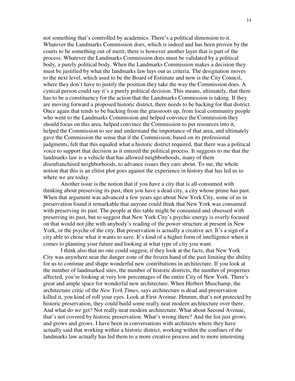not something that's controlled by academics. There's a political dimension to it. Whatever the Landmarks Commission does, which is indeed and has been proven by the courts to be something out of merit, there is however another layer that is part of the process. Whatever the Landmarks Commission does must be validated by a political body, a purely political body. When the Landmarks Commission makes a decision they must be justified by what the landmarks law lays out as criteria. The designation moves to the next level, which used to be the Board of Estimate and now is the City Council, where they don't have to justify the position they take the way the Commission does. A cynical person could say it's a purely political decision. This means, ultimately, that there has to be a constituency for the action that the Landmarks Commission is taking. If they are moving forward a proposed historic district, there needs to be backing for that district. Once again that tends to be backing from the grassroots up, from local community people who went to the Landmarks Commission and helped convince the Commission they should focus on this area, helped convince the Commission to put resources into it, helped the Commission to see and understand the importance of that area, and ultimately gave the Commission the sense that if the Commission, based on its professional judgments, felt that this equaled what a historic district required, that there was a political voice to support that decision as it entered the political process. It suggests to me that the landmarks law is a vehicle that has allowed neighborhoods, many of them disenfranchised neighborhoods, to advance issues they care about. To me, the whole notion that this is an elitist plot goes against the experience in history that has led us to where we are today.

Another issue is the notion that if you have a city that is all-consumed with thinking about preserving its past, then you have a dead city, a city whose prime has past. When that argument was advanced a few years ago about New York City, some of us in preservation found it remarkable that anyone could think that New York was consumed with preserving its past. The people at this table might be consumed and obsessed with preserving its past, but to suggest that New York City's psychic energy is overly focused on that would not jibe with anybody's reading of the power structure at present in New York, or the psyche of the city. But preservation is actually a creative act. It's a sign of a city able to chose what it wants to save. It's kind of a higher form of intelligence when it comes to planning your future and looking at what type of city you want.

I think also that no one could suggest, if they look at the facts, that New York City was anywhere near the danger zone of the frozen hand of the past limiting the ability for us to continue and shape wonderful new contributions in architecture. If you look at the number of landmarked sites, the number of historic districts, the number of properties affected, you're looking at very low percentages of the entire City of New York. There's great and ample space for wonderful new architecture. When Herbert Muschamp, the architecture critic of the *New York Times*, says architecture is dead and preservation killed it, you kind of roll your eyes. Look at First Avenue. Hmmm, that's not protected by historic preservation, they could build some really neat modern architecture over there. And what do we get? Not really neat modern architecture. What about Second Avenue, that's not covered by historic preservation. What's wrong there? And the list just grows and grows and grows. I have been in conversations with architects where they have actually said that working within a historic district, working within the confines of the landmarks law actually has led them to a more creative process and to more interesting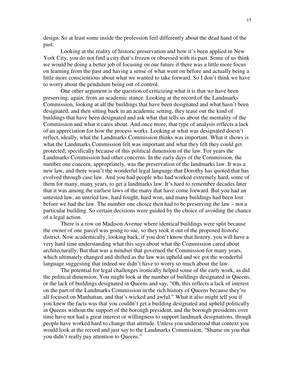design. So at least some inside the profession feel differently about the dead hand of the past.

Looking at the reality of historic preservation and how it's been applied in New York City, you do not find a city that's frozen or obsessed with its past. Some of us think we would be doing a better job of focusing on our future if there was a little more focus on learning from the past and having a sense of what went on before and actually being a little more conscientious about what we wanted to take forward. So I don't think we have to worry about the pendulum being out of control.

One other argument is the question of criticizing what it is that we have been preserving, again, from an academic stance. Looking at the record of the Landmarks Commission, looking at all the buildings that have been designated and what hasn't been designated, and then sitting back in an academic setting, they tease out the kind of buildings that have been designated and ask what that tells us about the mentality of the Commission and what it cares about. And once more, that type of analysis reflects a lack of an appreciation for how the process works. Looking at what was designated doesn't reflect, ideally, what the Landmarks Commission thinks was important. What it shows is what the Landmarks Commission felt was important and what they felt they could get protected, specifically because of this political dimension of the law. For years the Landmarks Commission had other concerns. In the early days of the Commission, the number one concern, appropriately, was the preservation of the landmarks law. It was a new law, and there wasn't the wonderful legal language that Dorothy has quoted that has evolved through case law. And you had people who had worked extremely hard, some of them for many, many years, to get a landmarks law. It's hard to remember decades later that it was among the earliest laws of the many that have come forward. But you had an untested law, an untried law, hard fought, hard won, and many buildings had been lost before we had the law. The number one choice then had to be preserving the law – not a particular building. So certain decisions were guided by the choice of avoiding the chance of a legal action.

There is a row on Madison Avenue where identical buildings were split because the owner of one parcel was going to sue, so they took it out of the proposed historic district. Now academically, looking back, if you don't know that history, you will have a very hard time understanding what this says about what the Commission cared about architecturally. But that was a mindset that governed the Commission for many years, which ultimately changed and shifted as the law was upheld and we got the wonderful language suggesting that indeed we didn't have to worry so much about the law.

The potential for legal challenges ironically helped some of the early work, as did the political dimension. You might look at the number of buildings designated in Queens, or the lack of buildings designated in Queens and say, "Oh, this reflects a lack of interest on the part of the Landmarks Commission in the rich history of Queens because they're all focused on Manhattan, and that's wicked and awful." What it also might tell you if you knew the facts was that you couldn't get a building designated and upheld politically in Queens without the support of the borough president, and the borough presidents over time have not had a great interest or willingness to support landmark designations, though people have worked hard to change that attitude. Unless you understood that context you would look at the record and just say to the Landmarks Commission, "Shame on you that you didn't really pay attention to Queens."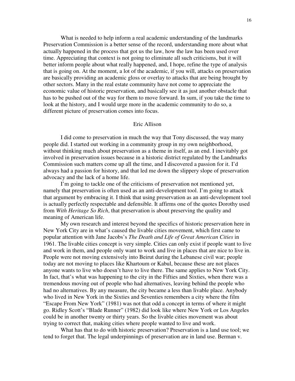What is needed to help inform a real academic understanding of the landmarks Preservation Commission is a better sense of the record, understanding more about what actually happened in the process that got us the law, how the law has been used over time. Appreciating that context is not going to eliminate all such criticisms, but it will better inform people about what really happened, and, I hope, refine the type of analysis that is going on. At the moment, a lot of the academic, if you will, attacks on preservation are basically providing an academic gloss or overlay to attacks that are being brought by other sectors. Many in the real estate community have not come to appreciate the economic value of historic preservation, and basically see it as just another obstacle that has to be pushed out of the way for them to move forward. In sum, if you take the time to look at the history, and I would urge more in the academic community to do so, a different picture of preservation comes into focus.

# Eric Allison

I did come to preservation in much the way that Tony discussed, the way many people did. I started out working in a community group in my own neighborhood, without thinking much about preservation as a theme in itself, as an end. I inevitably got involved in preservation issues because in a historic district regulated by the Landmarks Commission such matters come up all the time, and I discovered a passion for it. I'd always had a passion for history, and that led me down the slippery slope of preservation advocacy and the lack of a home life.

I'm going to tackle one of the criticisms of preservation not mentioned yet, namely that preservation is often used as an anti-development tool. I'm going to attack that argument by embracing it. I think that using preservation as an anti-development tool is actually perfectly respectable and defensible. It affirms one of the quotes Dorothy used from *With Heritage So Rich*, that preservation is about preserving the quality and meaning of American life.

My own research and interest beyond the specifics of historic preservation here in New York City are in what's caused the livable cities movement, which first came to popular attention with Jane Jacobs's *The Death and Life of Great American Cities* in 1961. The livable cities concept is very simple. Cities can only exist if people want to live and work in them, and people only want to work and live in places that are nice to live in. People were not moving extensively into Beirut during the Lebanese civil war; people today are not moving to places like Khartoum or Kabul, because these are not places anyone wants to live who doesn't have to live there. The same applies to New York City. In fact, that's what was happening to the city in the Fifties and Sixties, when there was a tremendous moving out of people who had alternatives, leaving behind the people who had no alternatives. By any measure, the city became a less than livable place. Anybody who lived in New York in the Sixties and Seventies remembers a city where the film "Escape From New York" (1981) was not that odd a concept in terms of where it might go. Ridley Scott's "Blade Runner" (1982) did look like where New York or Los Angeles could be in another twenty or thirty years. So the livable cities movement was about trying to correct that, making cities where people wanted to live and work.

What has that to do with historic preservation? Preservation is a land use tool; we tend to forget that. The legal underpinnings of preservation are in land use. Berman v.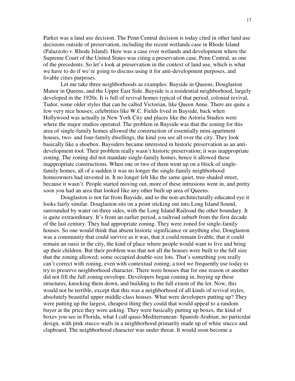Parker was a land use decision. The Penn Central decision is today cited in other land use decisions outside of preservation, including the recent wetlands case in Rhode Island (Palazzolo v. Rhode Island). Here was a case over wetlands and development where the Supreme Court of the United States was citing a preservation case, Penn Central, as one of the precedents. So let's look at preservation in the context of land use, which is what we have to do if we're going to discuss using it for anti-development purposes, and livable cities purposes.

Let me take three neighborhoods as examples: Bayside in Queens, Douglaston Manor in Queens, and the Upper East Side. Bayside is a residential neighborhood, largely developed in the 1920s. It is full of revival homes typical of that period, colonial revival, Tudor, some older styles that can be called Victorian, like Queen Anne. There are quite a few very nice houses; celebrities like W.C. Fields lived in Bayside, back when Hollywood was actually in New York City and places like the Astoria Studios were where the major studios operated. The problem in Bayside was that the zoning for this area of single-family homes allowed the construction of essentially mini-apartment houses, two- and four-family dwellings, the kind you see all over the city. They look basically like a shoebox. Baysiders became interested in historic preservation as an antidevelopment tool. Their problem really wasn't historic preservation; it was inappropriate zoning. The zoning did not mandate single-family homes, hence it allowed these inappropriate constructions. When one or two of them went up on a block of singlefamily homes, all of a sudden it was no longer the single-family neighborhood homeowners had invested in. It no longer felt like the same quiet, tree-shaded street, because it wasn't. People started moving out, more of these intrusions went in, and pretty soon you had an area that looked like any other built up area of Queens.

Douglaston is not far from Bayside, and to the non-architecturally educated eye it looks fairly similar. Douglaston sits on a point sticking out into Long Island Sound, surrounded by water on three sides, with the Long Island Railroad the other boundary. It is quite extraordinary. It's from an earlier period, a railroad suburb from the first decade of the last century. They had appropriate zoning. They were zoned for single-family houses. So one would think that absent historic significance or anything else, Douglaston was a community that could survive as it was, that it could remain livable, that it could remain an oasis in the city, the kind of place where people would want to live and bring up their children. But their problem was that not all the houses were built to the full size that the zoning allowed; some occupied double-size lots. That's something you really can't correct with zoning, even with contextual zoning, a tool we frequently use today to try to preserve neighborhood character. There were houses that for one reason or another did not fill the full zoning envelope. Developers began coming in, buying up these structures, knocking them down, and building to the full extent of the lot. Now, this would not be terrible, except that this was a neighborhood of all kinds of revival styles, absolutely beautiful upper middle-class houses. What were developers putting up? They were putting up the largest, cheapest thing they could that would appeal to a random buyer at the price they were asking. They were basically putting up boxes, the kind of boxes you see in Florida, what I call quasi-Mediterranean- Spanish-Arabian, no particular design, with pink stucco walls in a neighborhood primarily made up of white stucco and clapboard. The neighborhood character was under threat. It would soon become a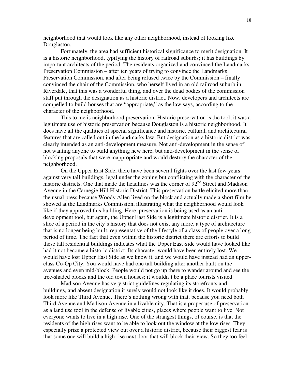neighborhood that would look like any other neighborhood, instead of looking like Douglaston.

Fortunately, the area had sufficient historical significance to merit designation. It is a historic neighborhood, typifying the history of railroad suburbs; it has buildings by important architects of the period. The residents organized and convinced the Landmarks Preservation Commission – after ten years of trying to convince the Landmarks Preservation Commission, and after being refused twice by the Commission – finally convinced the chair of the Commission, who herself lived in an old railroad suburb in Riverdale, that this was a wonderful thing, and over the dead bodies of the commission staff put through the designation as a historic district. Now, developers and architects are compelled to build houses that are "appropriate," as the law says, according to the character of the neighborhood.

This to me is neighborhood preservation. Historic preservation is the tool; it was a legitimate use of historic preservation because Douglaston is a historic neighborhood. It does have all the qualities of special significance and historic, cultural, and architectural features that are called out in the landmarks law. But designation as a historic district was clearly intended as an anti-development measure. Not anti-development in the sense of not wanting anyone to build anything new here, but anti-development in the sense of blocking proposals that were inappropriate and would destroy the character of the neighborhood.

On the Upper East Side, there have been several fights over the last few years against very tall buildings, legal under the zoning but conflicting with the character of the historic districts. One that made the headlines was the corner of 92<sup>nd</sup> Street and Madison Avenue in the Carnegie Hill Historic District. This preservation battle elicited more than the usual press because Woody Allen lived on the block and actually made a short film he showed at the Landmarks Commission, illustrating what the neighborhood would look like if they approved this building. Here, preservation is being used as an antidevelopment tool, but again, the Upper East Side is a legitimate historic district. It is a slice of a period in the city's history that does not exist any more, a type of architecture that is no longer being built, representative of the lifestyle of a class of people over a long period of time. The fact that even within the historic district there are efforts to build these tall residential buildings indicates what the Upper East Side would have looked like had it not become a historic district. Its character would have been entirely lost. We would have lost Upper East Side as we know it, and we would have instead had an upperclass Co-Op City. You would have had one tall building after another built on the avenues and even mid-block. People would not go up there to wander around and see the tree-shaded blocks and the old town houses; it wouldn't be a place tourists visited.

Madison Avenue has very strict guidelines regulating its storefronts and buildings, and absent designation it surely would not look like it does. It would probably look more like Third Avenue. There's nothing wrong with that, because you need both Third Avenue and Madison Avenue in a livable city. That is a proper use of preservation as a land use tool in the defense of livable cities, places where people want to live. Not everyone wants to live in a high rise. One of the strangest things, of course, is that the residents of the high rises want to be able to look out the window at the low rises. They especially prize a protected view out over a historic district, because their biggest fear is that some one will build a high rise next door that will block their view. So they too feel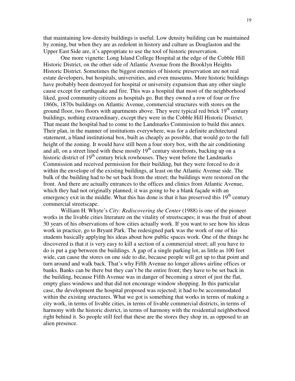that maintaining low-density buildings is useful. Low density building can be maintained by zoning, but when they are as redolent in history and culture as Douglaston and the Upper East Side are, it's appropriate to use the tool of historic preservation.

One more vignette: Long Island College Hospital at the edge of the Cobble Hill Historic District, on the other side of Atlantic Avenue from the Brooklyn Heights Historic District. Sometimes the biggest enemies of historic preservation are not real estate developers, but hospitals, universities, and even museums. More historic buildings have probably been destroyed for hospital or university expansion than any other single cause except for earthquake and fire. This was a hospital that most of the neighborhood liked, good community citizens as hospitals go. But they owned a row of four or five 1860s, 1870s buildings on Atlantic Avenue, commercial structures with stores on the ground floor, two floors with apartments above. They were typical red brick  $19<sup>th</sup>$  century buildings, nothing extraordinary, except they were in the Cobble Hill Historic District. That meant the hospital had to come to the Landmarks Commission to build this annex. Their plan, in the manner of institutions everywhere, was for a definite architectural statement, a bland institutional box, built as cheaply as possible, that would go to the full height of the zoning. It would have still been a four story box, with the air conditioning and all, on a street lined with these mostly  $19<sup>th</sup>$  century storefronts, backing up on a historic district of  $19<sup>th</sup>$  century brick rowhouses. They went before the Landmarks Commission and received permission for their building, but they were forced to do it within the envelope of the existing buildings, at least on the Atlantic Avenue side. The bulk of the building had to be set back from the street; the buildings were restored on the front. And there are actually entrances to the offices and clinics from Atlantic Avenue, which they had not originally planned; it was going to be a blank façade with an emergency exit in the middle. What this has done is that it has preserved this  $19<sup>th</sup>$  century commercial streetscape.

William H. Whyte's *City: Rediscovering the Center* (1988) is one of the pioneer works in the livable cities literature on the vitality of streetscapes; it was the fruit of about 30 years of his observations of how cities actually work. If you want to see how his ideas work in practice, go to Bryant Park. The redesigned park was the work of one of his students basically applying his ideas about how public spaces work. One of the things he discovered is that it is very easy to kill a section of a commercial street; all you have to do is put a gap between the buildings. A gap of a single parking lot, as little as 100 feet wide, can cause the stores on one side to die, because people will get up to that point and turn around and walk back. That's why Fifth Avenue no longer allows airline offices or banks. Banks can be there but they can't be the entire front; they have to be set back in the building, because Fifth Avenue was in danger of becoming a street of just the flat, empty glass windows and that did not encourage window shopping. In this particular case, the development the hospital proposed was rejected; it had to be accommodated within the existing structures. What we got is something that works in terms of making a city work, in terms of livable cities, in terms of livable commercial districts, in terms of harmony with the historic district, in terms of harmony with the residential neighborhood right behind it. So people still feel that these are the stores they shop in, as opposed to an alien presence.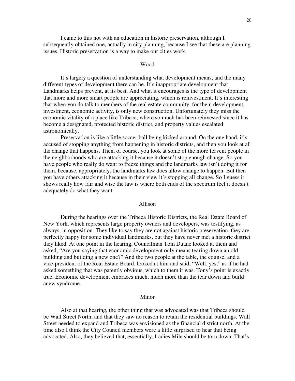I came to this not with an education in historic preservation, although I subsequently obtained one, actually in city planning, because I see that these are planning issues. Historic preservation is a way to make our cities work.

#### Wood

It's largely a question of understanding what development means, and the many different types of development there can be. It's inappropriate development that Landmarks helps prevent, at its best. And what it encourages is the type of development that more and more smart people are appreciating, which is reinvestment. It's interesting that when you do talk to members of the real estate community, for them development, investment, economic activity, is only new construction. Unfortunately they miss the economic vitality of a place like Tribeca, where so much has been reinvested since it has become a designated, protected historic district, and property values escalated astronomically.

Preservation is like a little soccer ball being kicked around. On the one hand, it's accused of stopping anything from happening in historic districts, and then you look at all the change that happens. Then, of course, you look at some of the more fervent people in the neighborhoods who are attacking it because it doesn't stop enough change. So you have people who really do want to freeze things and the landmarks law isn't doing it for them, because, appropriately, the landmarks law does allow change to happen. But then you have others attacking it because in their view it's stopping all change. So I guess it shows really how fair and wise the law is where both ends of the spectrum feel it doesn't adequately do what they want.

#### Allison

During the hearings over the Tribeca Historic Districts, the Real Estate Board of New York, which represents large property owners and developers, was testifying, as always, in opposition. They like to say they are not against historic preservation, they are perfectly happy for some individual landmarks, but they have never met a historic district they liked. At one point in the hearing, Councilman Tom Duane looked at them and asked, "Are you saying that economic development only means tearing down an old building and building a new one?" And the two people at the table, the counsel and a vice-president of the Real Estate Board, looked at him and said, "Well, yes," as if he had asked something that was patently obvious, which to them it was. Tony's point is exactly true. Economic development embraces much, much more than the tear down and build anew syndrome.

#### Minor

Also at that hearing, the other thing that was advocated was that Tribeca should be Wall Street North, and that they saw no reason to retain the residential buildings. Wall Street needed to expand and Tribeca was envisioned as the financial district north. At the time also I think the City Council members were a little surprised to hear that being advocated. Also, they believed that, essentially, Ladies Mile should be torn down. That's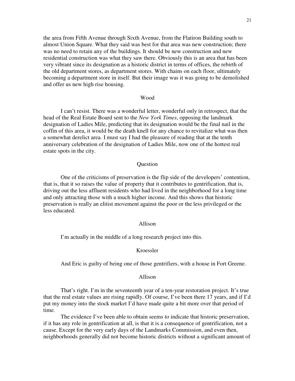the area from Fifth Avenue through Sixth Avenue, from the Flatiron Building south to almost Union Square. What they said was best for that area was new construction; there was no need to retain any of the buildings. It should be new construction and new residential construction was what they saw there. Obviously this is an area that has been very vibrant since its designation as a historic district in terms of offices, the rebirth of the old department stores, as department stores. With chains on each floor, ultimately becoming a department store in itself. But their image was it was going to be demolished and offer us new high rise housing.

#### Wood

I can't resist. There was a wonderful letter, wonderful only in retrospect, that the head of the Real Estate Board sent to the *New York Times*, opposing the landmark designation of Ladies Mile, predicting that its designation would be the final nail in the coffin of this area, it would be the death knell for any chance to revitalize what was then a somewhat derelict area. I must say I had the pleasure of reading that at the tenth anniversary celebration of the designation of Ladies Mile, now one of the hottest real estate spots in the city.

# **Question**

One of the criticisms of preservation is the flip side of the developers' contention, that is, that it so raises the value of property that it contributes to gentrification, that is, driving out the less affluent residents who had lived in the neighborhood for a long time and only attracting those with a much higher income. And this shows that historic preservation is really an elitist movement against the poor or the less privileged or the less educated.

# Allison

I'm actually in the middle of a long research project into this.

# Kroessler

And Eric is guilty of being one of those gentrifiers, with a house in Fort Greene.

#### Allison

That's right. I'm in the seventeenth year of a ten-year restoration project. It's true that the real estate values are rising rapidly. Of course, I've been there 17 years, and if I'd put my money into the stock market I'd have made quite a bit more over that period of time.

The evidence I've been able to obtain seems to indicate that historic preservation, if it has any role in gentrification at all, is that it is a consequence of gentrification, not a cause. Except for the very early days of the Landmarks Commission, and even then, neighborhoods generally did not become historic districts without a significant amount of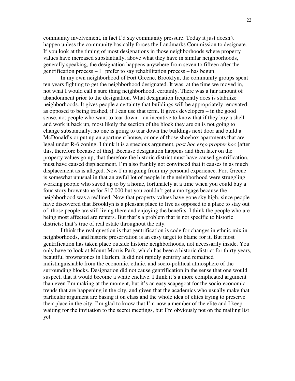community involvement, in fact I'd say community pressure. Today it just doesn't happen unless the community basically forces the Landmarks Commission to designate. If you look at the timing of most designations in those neighborhoods where property values have increased substantially, above what they have in similar neighborhoods, generally speaking, the designation happens anywhere from seven to fifteen after the gentrification process  $-1$  prefer to say rehabilitation process – has begun.

In my own neighborhood of Fort Greene, Brooklyn, the community groups spent ten years fighting to get the neighborhood designated. It was, at the time we moved in, not what I would call a sure thing neighborhood, certainly. There was a fair amount of abandonment prior to the designation. What designation frequently does is stabilize neighborhoods. It gives people a certainty that buildings will be appropriately renovated, as opposed to being trashed, if I can use that term. It gives developers – in the good sense, not people who want to tear down – an incentive to know that if they buy a shell and work it back up, most likely the section of the block they are on is not going to change substantially; no one is going to tear down the buildings next door and build a McDonald's or put up an apartment house, or one of those shoebox apartments that are legal under R-6 zoning. I think it is a specious argument, *post hoc ergo propter hoc* [after this, therefore because of this]. Because designation happens and then later on the property values go up, that therefore the historic district must have caused gentrification, must have caused displacement. I'm also frankly not convinced that it causes in as much displacement as is alleged. Now I'm arguing from my personal experience. Fort Greene is somewhat unusual in that an awful lot of people in the neighborhood were struggling working people who saved up to by a home, fortunately at a time when you could buy a four-story brownstone for \$17,000 but you couldn't get a mortgage because the neighborhood was a redlined. Now that property values have gone sky high, since people have discovered that Brooklyn is a pleasant place to live as opposed to a place to stay out of, those people are still living there and enjoying the benefits. I think the people who are being most affected are renters. But that's a problem that is not specific to historic districts; that's true of real estate throughout the city.

I think the real question is that gentrification is code for changes in ethnic mix in neighborhoods, and historic preservation is an easy target to blame for it. But most gentrification has taken place outside historic neighborhoods, not necessarily inside. You only have to look at Mount Morris Park, which has been a historic district for thirty years, beautiful brownstones in Harlem. It did not rapidly gentrify and remained indistinguishable from the economic, ethnic, and socio-political atmosphere of the surrounding blocks. Designation did not cause gentrification in the sense that one would suspect, that it would become a white enclave. I think it's a more complicated argument than even I'm making at the moment, but it's an easy scapegoat for the socio-economic trends that are happening in the city, and given that the academics who usually make that particular argument are basing it on class and the whole idea of elites trying to preserve their place in the city, I'm glad to know that I'm now a member of the elite and I keep waiting for the invitation to the secret meetings, but I'm obviously not on the mailing list yet.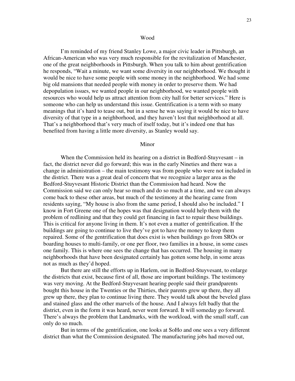I'm reminded of my friend Stanley Lowe, a major civic leader in Pittsburgh, an African-American who was very much responsible for the revitalization of Manchester, one of the great neighborhoods in Pittsburgh. When you talk to him about gentrification he responds, "Wait a minute, we want some diversity in our neighborhood. We thought it would be nice to have some people with some money in the neighborhood. We had some big old mansions that needed people with money in order to preserve them. We had depopulation issues, we wanted people in our neighborhood, we wanted people with resources who would help us attract attention from city hall for better services." Here is someone who can help us understand this issue. Gentrification is a term with so many meanings that it's hard to tease out, but in a sense he was saying it would be nice to have diversity of that type in a neighborhood, and they haven't lost that neighborhood at all. That's a neighborhood that's very much of itself today, but it's indeed one that has benefited from having a little more diversity, as Stanley would say.

#### Minor

When the Commission held its hearing on a district in Bedford-Stuyvesant – in fact, the district never did go forward; this was in the early Nineties and there was a change in administration – the main testimony was from people who were not included in the district. There was a great deal of concern that we recognize a larger area as the Bedford-Stuyvesant Historic District than the Commission had heard. Now the Commission said we can only hear so much and do so much at a time, and we can always come back to these other areas, but much of the testimony at the hearing came from residents saying, "My house is also from the same period, I should also be included." I know in Fort Greene one of the hopes was that designation would help them with the problem of redlining and that they could get financing in fact to repair these buildings. This is critical for anyone living in them. It's not even a matter of gentrification. If the buildings are going to continue to live they've got to have the money to keep them repaired. Some of the gentrification that does exist is when buildings go from SROs or boarding houses to multi-family, or one per floor, two families in a house, in some cases one family. This is where one sees the change that has occurred. The housing in many neighborhoods that have been designated certainly has gotten some help, in some areas not as much as they'd hoped.

But there are still the efforts up in Harlem, out in Bedford-Stuyvesant, to enlarge the districts that exist, because first of all, those are important buildings. The testimony was very moving. At the Bedford-Stuyvesant hearing people said their grandparents bought this house in the Twenties or the Thirties, their parents grew up there, they all grew up there, they plan to continue living there. They would talk about the beveled glass and stained glass and the other marvels of the house. And I always felt badly that the district, even in the form it was heard, never went forward. It will someday go forward. There's always the problem that Landmarks, with the workload, with the small staff, can only do so much.

But in terms of the gentrification, one looks at SoHo and one sees a very different district than what the Commission designated. The manufacturing jobs had moved out,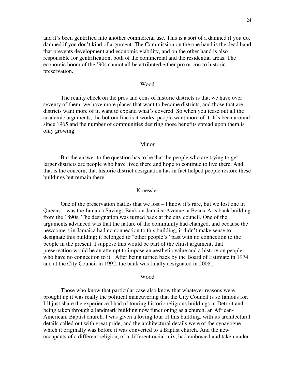and it's been gentrified into another commercial use. This is a sort of a damned if you do, damned if you don't kind of argument. The Commission on the one hand is the dead hand that prevents development and economic viability, and on the other hand is also responsible for gentrification, both of the commercial and the residential areas. The economic boom of the '90s cannot all be attributed either pro or con to historic preservation.

#### Wood

The reality check on the pros and cons of historic districts is that we have over seventy of them; we have more places that want to become districts, and those that are districts want more of it, want to expand what's covered. So when you tease out all the academic arguments, the bottom line is it works; people want more of it. It's been around since 1965 and the number of communities desiring those benefits spread upon them is only growing.

## Minor

But the answer to the question has to be that the people who are trying to get larger districts are people who have lived there and hope to continue to live there. And that is the concern, that historic district designation has in fact helped people restore these buildings but remain there.

### Kroessler

One of the preservation battles that we lost – I know it's rare, but we lost one in Queens – was the Jamaica Savings Bank on Jamaica Avenue, a Beaux Arts bank building from the 1890s. The designation was turned back at the city council. One of the arguments advanced was that the nature of the community had changed, and because the newcomers in Jamaica had no connection to this building, it didn't make sense to designate this building; it belonged to "other people's" past with no connection to the people in the present. I suppose this would be part of the elitist argument, that preservation would be an attempt to impose an aesthetic value and a history on people who have no connection to it. [After being turned back by the Board of Estimate in 1974 and at the City Council in 1992, the bank was finally designated in 2008.]

#### Wood

Those who know that particular case also know that whatever reasons were brought up it was really the political maneuvering that the City Council is so famous for. I'll just share the experience I had of touring historic religious buildings in Detroit and being taken through a landmark building now functioning as a church, an African-American, Baptist church. I was given a loving tour of this building, with its architectural details called out with great pride, and the architectural details were of the synagogue which it originally was before it was converted to a Baptist church. And the new occupants of a different religion, of a different racial mix, had embraced and taken under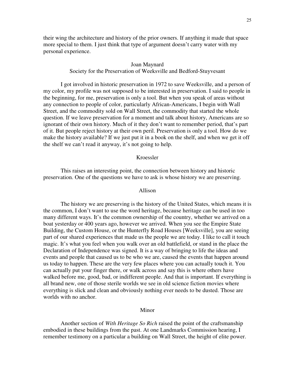their wing the architecture and history of the prior owners. If anything it made that space more special to them. I just think that type of argument doesn't carry water with my personal experience.

## Joan Maynard

Society for the Preservation of Weeksville and Bedford-Stuyvesant

I got involved in historic preservation in 1972 to save Weeksville, and a person of my color, my profile was not supposed to be interested in preservation. I said to people in the beginning, for me, preservation is only a tool. But when you speak of areas without any connection to people of color, particularly African-Americans, I begin with Wall Street, and the commodity sold on Wall Street, the commodity that started the whole question. If we leave preservation for a moment and talk about history, Americans are so ignorant of their own history. Much of it they don't want to remember period, that's part of it. But people reject history at their own peril. Preservation is only a tool. How do we make the history available? If we just put it in a book on the shelf, and when we get it off the shelf we can't read it anyway, it's not going to help.

## Kroessler

This raises an interesting point, the connection between history and historic preservation. One of the questions we have to ask is whose history we are preserving.

#### Allison

The history we are preserving is the history of the United States, which means it is the common, I don't want to use the word heritage, because heritage can be used in too many different ways. It's the common ownership of the country, whether we arrived on a boat yesterday or 400 years ago, however we arrived. When you see the Empire State Building, the Custom House, or the Hunterfly Road Houses [Weeksville], you are seeing part of our shared experiences that made us the people we are today. I like to call it touch magic. It's what you feel when you walk over an old battlefield, or stand in the place the Declaration of Independence was signed. It is a way of bringing to life the ideas and events and people that caused us to be who we are, caused the events that happen around us today to happen. These are the very few places where you can actually touch it. You can actually put your finger there, or walk across and say this is where others have walked before me, good, bad, or indifferent people. And that is important. If everything is all brand new, one of those sterile worlds we see in old science fiction movies where everything is slick and clean and obviously nothing ever needs to be dusted. Those are worlds with no anchor.

# Minor

Another section of *With Heritage So Rich* raised the point of the craftsmanship embodied in these buildings from the past. At one Landmarks Commission hearing, I remember testimony on a particular a building on Wall Street, the height of elite power.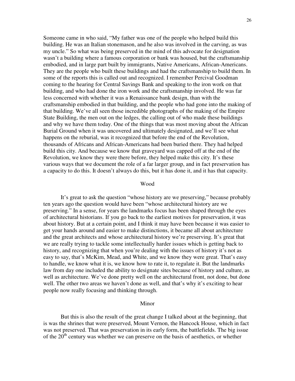Someone came in who said, "My father was one of the people who helped build this building. He was an Italian stonemason, and he also was involved in the carving, as was my uncle." So what was being preserved in the mind of this advocate for designation wasn't a building where a famous corporation or bank was housed, but the craftsmanship embodied, and in large part built by immigrants, Native Americans, African-Americans. They are the people who built these buildings and had the craftsmanship to build them. In some of the reports this is called out and recognized. I remember Percival Goodman coming to the hearing for Central Savings Bank and speaking to the iron work on that building, and who had done the iron work and the craftsmanship involved. He was far less concerned with whether it was a Renaissance bank design, than with the craftsmanship embodied in that building, and the people who had gone into the making of that building. We've all seen those incredible photographs of the making of the Empire State Building, the men out on the ledges, the calling out of who made these buildings and why we have them today. One of the things that was most moving about the African Burial Ground when it was uncovered and ultimately designated, and we'll see what happens on the reburial, was it recognized that before the end of the Revolution, thousands of Africans and African-Americans had been buried there. They had helped build this city. And because we know that graveyard was capped off at the end of the Revolution, we know they were there before, they helped make this city. It's these various ways that we document the role of a far larger group, and in fact preservation has a capacity to do this. It doesn't always do this, but it has done it, and it has that capacity.

#### Wood

It's great to ask the question "whose history are we preserving," because probably ten years ago the question would have been "whose architectural history are we preserving." In a sense, for years the landmarks focus has been shaped through the eyes of architectural historians. If you go back to the earliest motives for preservation, it was about history. But at a certain point, and I think it may have been because it was easier to get your hands around and easier to make distinctions, it became all about architecture and the great architects and whose architectural history we're preserving. It's great that we are really trying to tackle some intellectually harder issues which is getting back to history, and recognizing that when you're dealing with the issues of history it's not as easy to say, that's McKim, Mead, and White, and we know they were great. That's easy to handle, we know what it is, we know how to rate it, to regulate it. But the landmarks law from day one included the ability to designate sites because of history and culture, as well as architecture. We've done pretty well on the architectural front, not done, but done well. The other two areas we haven't done as well, and that's why it's exciting to hear people now really focusing and thinking through.

#### Minor

But this is also the result of the great change I talked about at the beginning, that is was the shrines that were preserved, Mount Vernon, the Hancock House, which in fact was not preserved. That was preservation in its early form, the battlefields. The big issue of the  $20<sup>th</sup>$  century was whether we can preserve on the basis of aesthetics, or whether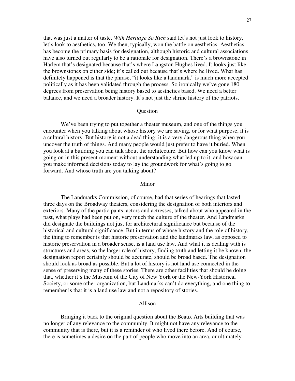that was just a matter of taste. *With Heritage So Rich* said let's not just look to history, let's look to aesthetics, too. We then, typically, won the battle on aesthetics. Aesthetics has become the primary basis for designation, although historic and cultural associations have also turned out regularly to be a rationale for designation. There's a brownstone in Harlem that's designated because that's where Langston Hughes lived. It looks just like the brownstones on either side; it's called out because that's where he lived. What has definitely happened is that the phrase, "it looks like a landmark," is much more accepted politically as it has been validated through the process. So ironically we've gone 180 degrees from preservation being history based to aesthetics based. We need a better balance, and we need a broader history. It's not just the shrine history of the patriots.

# **Question**

We've been trying to put together a theater museum, and one of the things you encounter when you talking about whose history we are saving, or for what purpose, it is a cultural history. But history is not a dead thing; it is a very dangerous thing when you uncover the truth of things. And many people would just prefer to have it buried. When you look at a building you can talk about the architecture. But how can you know what is going on in this present moment without understanding what led up to it, and how can you make informed decisions today to lay the groundwork for what's going to go forward. And whose truth are you talking about?

#### Minor

The Landmarks Commission, of course, had that series of hearings that lasted three days on the Broadway theaters, considering the designation of both interiors and exteriors. Many of the participants, actors and actresses, talked about who appeared in the past, what plays had been put on, very much the culture of the theater. And Landmarks did designate the buildings not just for architectural significance but because of the historical and cultural significance. But in terms of whose history and the role of history, the thing to remember is that historic preservation and the landmarks law, as opposed to historic preservation in a broader sense, is a land use law. And what it is dealing with is structures and areas, so the larger role of history, finding truth and letting it be known, the designation report certainly should be accurate, should be broad based. The designation should look as broad as possible. But a lot of history is not land use connected in the sense of preserving many of these stories. There are other facilities that should be doing that, whether it's the Museum of the City of New York or the New-York Historical Society, or some other organization, but Landmarks can't do everything, and one thing to remember is that it is a land use law and not a repository of stories.

#### Allison

Bringing it back to the original question about the Beaux Arts building that was no longer of any relevance to the community. It might not have any relevance to the community that is there, but it is a reminder of who lived there before. And of course, there is sometimes a desire on the part of people who move into an area, or ultimately